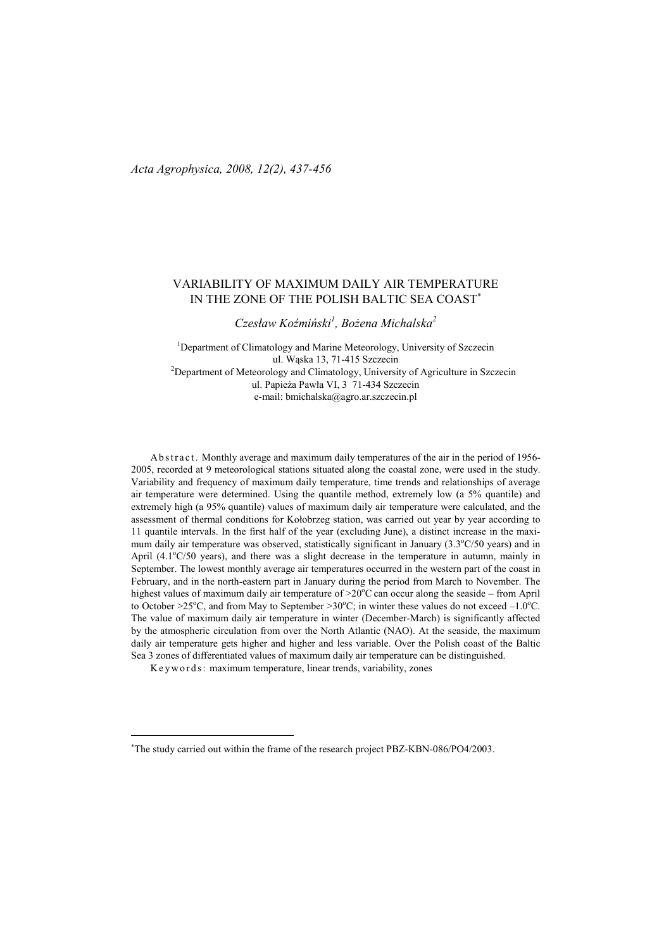# VARIABILITY OF MAXIMUM DAILY AIR TEMPERATURE IN THE ZONE OF THE POLISH BALTIC SEA COAST<sup>∗</sup>

 $C$ zesław Koźmiński<sup>1</sup>, Bożena Michalska<sup>2</sup>

<sup>1</sup>Department of Climatology and Marine Meteorology, University of Szczecin ul. Wąska 13, 71-415 Szczecin <sup>2</sup>Department of Meteorology and Climatology, University of Agriculture in Szczecin ul. Papieża Pawła VI, 3 71-434 Szczecin e-mail: bmichalska@agro.ar.szczecin.pl

Ab stract. Monthly average and maximum daily temperatures of the air in the period of 1956-2005, recorded at 9 meteorological stations situated along the coastal zone, were used in the study. Variability and frequency of maximum daily temperature, time trends and relationships of average air temperature were determined. Using the quantile method, extremely low (a 5% quantile) and extremely high (a 95% quantile) values of maximum daily air temperature were calculated, and the assessment of thermal conditions for Kołobrzeg station, was carried out year by year according to 11 quantile intervals. In the first half of the year (excluding June), a distinct increase in the maximum daily air temperature was observed, statistically significant in January  $(3.3^{\circ}C/50 \text{ years})$  and in April  $(4.1^{\circ}C/50$  years), and there was a slight decrease in the temperature in autumn, mainly in September. The lowest monthly average air temperatures occurred in the western part of the coast in February, and in the north-eastern part in January during the period from March to November. The highest values of maximum daily air temperature of  $>20^{\circ}$ C can occur along the seaside – from April to October >25<sup>o</sup>C, and from May to September >30<sup>o</sup>C; in winter these values do not exceed -1.0<sup>o</sup>C. The value of maximum daily air temperature in winter (December-March) is significantly affected by the atmospheric circulation from over the North Atlantic (NAO). At the seaside, the maximum daily air temperature gets higher and higher and less variable. Over the Polish coast of the Baltic Sea 3 zones of differentiated values of maximum daily air temperature can be distinguished.

 $\overline{a}$ 

K e y w o r d s : maximum temperature, linear trends, variability, zones

<sup>∗</sup>The study carried out within the frame of the research project PBZ-KBN-086/PO4/2003.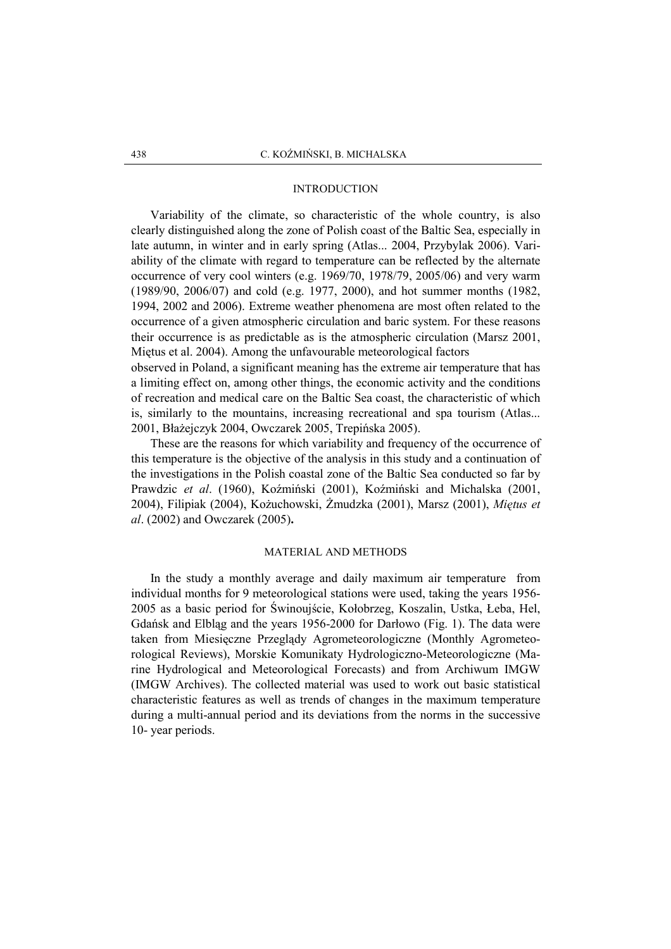### INTRODUCTION

 Variability of the climate, so characteristic of the whole country, is also clearly distinguished along the zone of Polish coast of the Baltic Sea, especially in late autumn, in winter and in early spring (Atlas... 2004, Przybylak 2006). Variability of the climate with regard to temperature can be reflected by the alternate occurrence of very cool winters (e.g. 1969/70, 1978/79, 2005/06) and very warm (1989/90, 2006/07) and cold (e.g. 1977, 2000), and hot summer months (1982, 1994, 2002 and 2006). Extreme weather phenomena are most often related to the occurrence of a given atmospheric circulation and baric system. For these reasons their occurrence is as predictable as is the atmospheric circulation (Marsz 2001, Miętus et al. 2004). Among the unfavourable meteorological factors

observed in Poland, a significant meaning has the extreme air temperature that has a limiting effect on, among other things, the economic activity and the conditions of recreation and medical care on the Baltic Sea coast, the characteristic of which is, similarly to the mountains, increasing recreational and spa tourism (Atlas... 2001, Błażejczyk 2004, Owczarek 2005, Trepińska 2005).

 These are the reasons for which variability and frequency of the occurrence of this temperature is the objective of the analysis in this study and a continuation of the investigations in the Polish coastal zone of the Baltic Sea conducted so far by Prawdzic et al. (1960), Koźmiński (2001), Koźmiński and Michalska (2001, 2004), Filipiak (2004), Kożuchowski, Żmudzka (2001), Marsz (2001), Miętus et al. (2002) and Owczarek (2005).

## MATERIAL AND METHODS

 In the study a monthly average and daily maximum air temperature from individual months for 9 meteorological stations were used, taking the years 1956- 2005 as a basic period for Świnoujście, Kołobrzeg, Koszalin, Ustka, Łeba, Hel, Gdańsk and Elbląg and the years 1956-2000 for Darłowo (Fig. 1). The data were taken from Miesięczne Przeglądy Agrometeorologiczne (Monthly Agrometeorological Reviews), Morskie Komunikaty Hydrologiczno-Meteorologiczne (Marine Hydrological and Meteorological Forecasts) and from Archiwum IMGW (IMGW Archives). The collected material was used to work out basic statistical characteristic features as well as trends of changes in the maximum temperature during a multi-annual period and its deviations from the norms in the successive 10- year periods.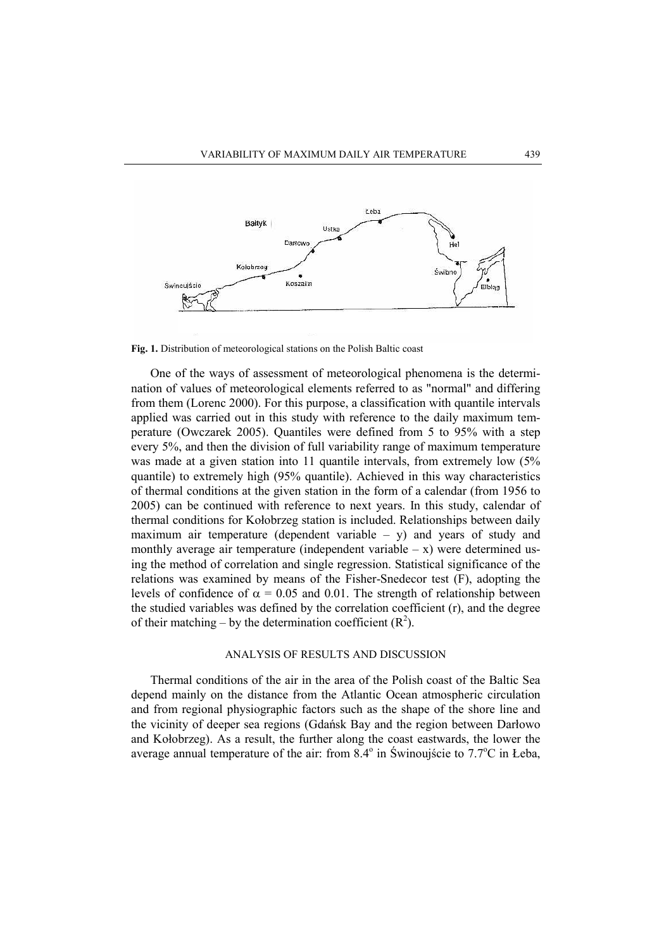

Fig. 1. Distribution of meteorological stations on the Polish Baltic coast

 One of the ways of assessment of meteorological phenomena is the determination of values of meteorological elements referred to as "normal" and differing from them (Lorenc 2000). For this purpose, a classification with quantile intervals applied was carried out in this study with reference to the daily maximum temperature (Owczarek 2005). Quantiles were defined from 5 to 95% with a step every 5%, and then the division of full variability range of maximum temperature was made at a given station into 11 quantile intervals, from extremely low (5% quantile) to extremely high (95% quantile). Achieved in this way characteristics of thermal conditions at the given station in the form of a calendar (from 1956 to 2005) can be continued with reference to next years. In this study, calendar of thermal conditions for Kołobrzeg station is included. Relationships between daily maximum air temperature (dependent variable  $-$  y) and years of study and monthly average air temperature (independent variable  $- x$ ) were determined using the method of correlation and single regression. Statistical significance of the relations was examined by means of the Fisher-Snedecor test (F), adopting the levels of confidence of  $\alpha = 0.05$  and 0.01. The strength of relationship between the studied variables was defined by the correlation coefficient (r), and the degree of their matching – by the determination coefficient  $(R^2)$ .

### ANALYSIS OF RESULTS AND DISCUSSION

 Thermal conditions of the air in the area of the Polish coast of the Baltic Sea depend mainly on the distance from the Atlantic Ocean atmospheric circulation and from regional physiographic factors such as the shape of the shore line and the vicinity of deeper sea regions (Gdańsk Bay and the region between Darłowo and Kołobrzeg). As a result, the further along the coast eastwards, the lower the average annual temperature of the air: from  $8.4^{\circ}$  in Świnoujście to  $7.7^{\circ}$ C in Łeba,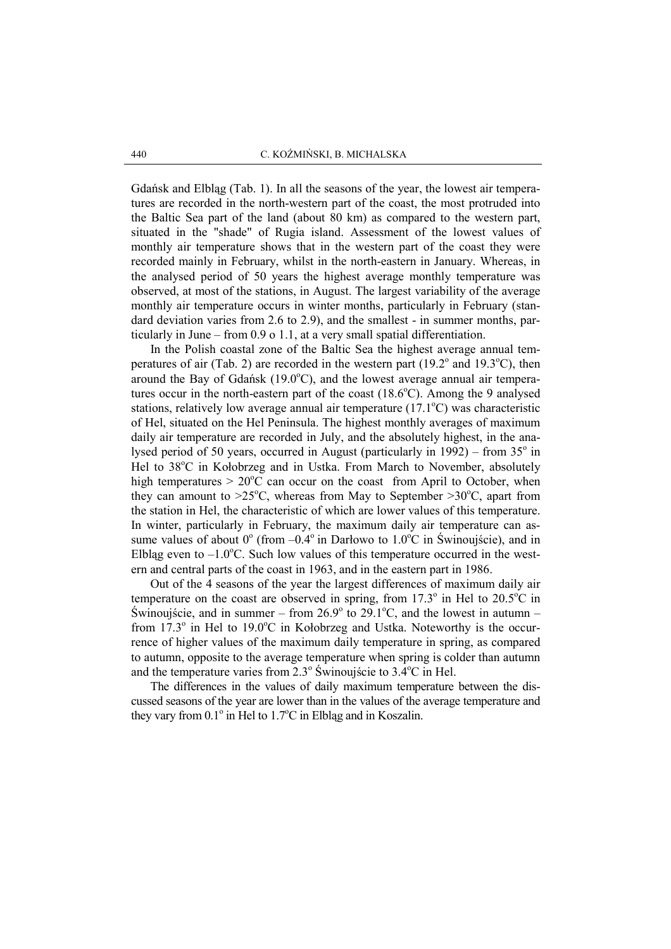Gdańsk and Elbląg (Tab. 1). In all the seasons of the year, the lowest air temperatures are recorded in the north-western part of the coast, the most protruded into the Baltic Sea part of the land (about 80 km) as compared to the western part, situated in the "shade" of Rugia island. Assessment of the lowest values of monthly air temperature shows that in the western part of the coast they were recorded mainly in February, whilst in the north-eastern in January. Whereas, in the analysed period of 50 years the highest average monthly temperature was observed, at most of the stations, in August. The largest variability of the average monthly air temperature occurs in winter months, particularly in February (standard deviation varies from 2.6 to 2.9), and the smallest - in summer months, particularly in June – from 0.9 o 1.1, at a very small spatial differentiation.

In the Polish coastal zone of the Baltic Sea the highest average annual temperatures of air (Tab. 2) are recorded in the western part ( $19.2^{\circ}$  and  $19.3^{\circ}$ C), then around the Bay of Gdańsk  $(19.0^{\circ}C)$ , and the lowest average annual air temperatures occur in the north-eastern part of the coast  $(18.6^{\circ}C)$ . Among the 9 analysed stations, relatively low average annual air temperature  $(17.1^{\circ}C)$  was characteristic of Hel, situated on the Hel Peninsula. The highest monthly averages of maximum daily air temperature are recorded in July, and the absolutely highest, in the analysed period of 50 years, occurred in August (particularly in  $1992$ ) – from  $35^\circ$  in Hel to 38<sup>o</sup>C in Kołobrzeg and in Ustka. From March to November, absolutely high temperatures  $> 20^{\circ}$ C can occur on the coast from April to October, when they can amount to  $>25^{\circ}$ C, whereas from May to September  $>30^{\circ}$ C, apart from the station in Hel, the characteristic of which are lower values of this temperature. In winter, particularly in February, the maximum daily air temperature can assume values of about  $0^{\circ}$  (from  $-0.4^{\circ}$  in Darłowo to  $1.0^{\circ}$ C in Świnoujście), and in Elbląg even to  $-1.0^{\circ}$ C. Such low values of this temperature occurred in the western and central parts of the coast in 1963, and in the eastern part in 1986.

 Out of the 4 seasons of the year the largest differences of maximum daily air temperature on the coast are observed in spring, from  $17.3^\circ$  in Hel to  $20.5^\circ$ C in Świnoujście, and in summer – from 26.9 $\degree$  to 29.1 $\degree$ C, and the lowest in autumn – from  $17.3^\circ$  in Hel to  $19.0^\circ$ C in Kołobrzeg and Ustka. Noteworthy is the occurrence of higher values of the maximum daily temperature in spring, as compared to autumn, opposite to the average temperature when spring is colder than autumn and the temperature varies from  $2.3^{\circ}$  Świnoujście to  $3.4^{\circ}$ C in Hel.

 The differences in the values of daily maximum temperature between the discussed seasons of the year are lower than in the values of the average temperature and they vary from  $0.1^\circ$  in Hel to  $1.7^\circ$ C in Elbląg and in Koszalin.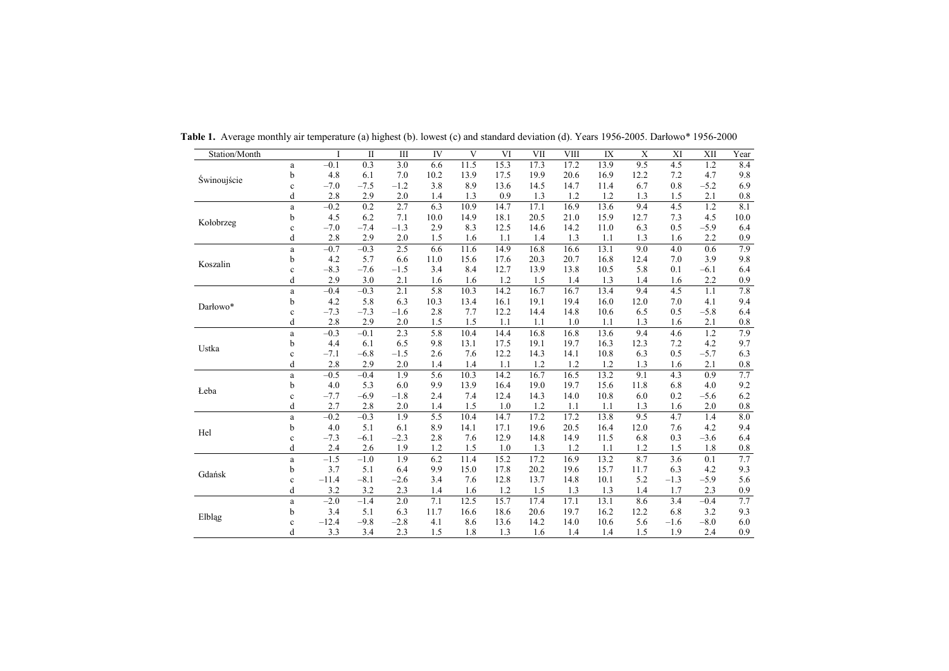| Station/Month |             |         | $\mathbf{I}$ | Ш      | IV   | V    | VI   | VII  | <b>VIII</b> | IX   | $\mathbf X$ | XI     | XII    | Year     |
|---------------|-------------|---------|--------------|--------|------|------|------|------|-------------|------|-------------|--------|--------|----------|
|               | a           | $-0.1$  | 0.3          | 3.0    | 6.6  | 11.5 | 15.3 | 17.3 | 17.2        | 13.9 | 9.5         | 4.5    | 1.2    | 8.4      |
| Świnoujście   | b           | 4.8     | 6.1          | 7.0    | 10.2 | 13.9 | 17.5 | 19.9 | 20.6        | 16.9 | 12.2        | 7.2    | 4.7    | 9.8      |
|               | $\mathbf c$ | $-7.0$  | $-7.5$       | $-1.2$ | 3.8  | 8.9  | 13.6 | 14.5 | 14.7        | 11.4 | 6.7         | 0.8    | $-5.2$ | 6.9      |
|               | d           | 2.8     | 2.9          | 2.0    | 1.4  | 1.3  | 0.9  | 1.3  | 1.2         | 1.2  | 1.3         | 1.5    | 2.1    | 0.8      |
|               | $\rm{a}$    | $-0.2$  | 0.2          | 2.7    | 6.3  | 10.9 | 14.7 | 17.1 | 16.9        | 13.6 | 9.4         | 4.5    | 1.2    | 8.1      |
| Kołobrzeg     | b           | 4.5     | 6.2          | 7.1    | 10.0 | 14.9 | 18.1 | 20.5 | 21.0        | 15.9 | 12.7        | 7.3    | 4.5    | $10.0\,$ |
|               | $\mathbf c$ | $-7.0$  | $-7.4$       | $-1.3$ | 2.9  | 8.3  | 12.5 | 14.6 | 14.2        | 11.0 | 6.3         | 0.5    | $-5.9$ | 6.4      |
|               | d           | 2.8     | 2.9          | 2.0    | 1.5  | 1.6  | 1.1  | 1.4  | 1.3         | 1.1  | 1.3         | 1.6    | 2.2    | 0.9      |
|               | $\rm{a}$    | $-0.7$  | $-0.3$       | 2.5    | 6.6  | 11.6 | 14.9 | 16.8 | 16.6        | 13.1 | 9.0         | 4.0    | 0.6    | 7.9      |
| Koszalin      | b           | 4.2     | 5.7          | 6.6    | 11.0 | 15.6 | 17.6 | 20.3 | 20.7        | 16.8 | 12.4        | 7.0    | 3.9    | 9.8      |
|               | $\mathbf c$ | $-8.3$  | $-7.6$       | $-1.5$ | 3.4  | 8.4  | 12.7 | 13.9 | 13.8        | 10.5 | 5.8         | 0.1    | $-6.1$ | 6.4      |
|               | d           | 2.9     | 3.0          | 2.1    | 1.6  | 1.6  | 1.2  | 1.5  | 1.4         | 1.3  | 1.4         | 1.6    | 2.2    | 0.9      |
|               | $\mathbf a$ | $-0.4$  | $-0.3$       | 2.1    | 5.8  | 10.3 | 14.2 | 16.7 | 16.7        | 13.4 | 9.4         | 4.5    | 1.1    | $7.8\,$  |
| Darłowo*      | b           | 4.2     | 5.8          | 6.3    | 10.3 | 13.4 | 16.1 | 19.1 | 19.4        | 16.0 | 12.0        | 7.0    | 4.1    | 9.4      |
|               | $\mathbf c$ | $-7.3$  | $-7.3$       | $-1.6$ | 2.8  | 7.7  | 12.2 | 14.4 | 14.8        | 10.6 | 6.5         | 0.5    | $-5.8$ | 6.4      |
|               | d           | 2.8     | 2.9          | 2.0    | 1.5  | 1.5  | 1.1  | 1.1  | 1.0         | 1.1  | 1.3         | 1.6    | 2.1    | 0.8      |
|               | $\rm{a}$    | $-0.3$  | $-0.1$       | 2.3    | 5.8  | 10.4 | 14.4 | 16.8 | 16.8        | 13.6 | 9.4         | 4.6    | 1.2    | 7.9      |
| Ustka         | b           | 4.4     | 6.1          | 6.5    | 9.8  | 13.1 | 17.5 | 19.1 | 19.7        | 16.3 | 12.3        | 7.2    | 4.2    | 9.7      |
|               | $\mathbf c$ | $-7.1$  | $-6.8$       | $-1.5$ | 2.6  | 7.6  | 12.2 | 14.3 | 14.1        | 10.8 | 6.3         | 0.5    | $-5.7$ | 6.3      |
|               | d           | 2.8     | 2.9          | 2.0    | 1.4  | 1.4  | 1.1  | 1.2  | 1.2         | 1.2  | 1.3         | 1.6    | 2.1    | $0.8\,$  |
|               | $\rm{a}$    | $-0.5$  | $-0.4$       | 1.9    | 5.6  | 10.3 | 14.2 | 16.7 | 16.5        | 13.2 | 9.1         | 4.3    | 0.9    | 7.7      |
| Łeba          | b           | 4.0     | 5.3          | 6.0    | 9.9  | 13.9 | 16.4 | 19.0 | 19.7        | 15.6 | 11.8        | 6.8    | 4.0    | 9.2      |
|               | $\mathbf c$ | $-7.7$  | $-6.9$       | $-1.8$ | 2.4  | 7.4  | 12.4 | 14.3 | 14.0        | 10.8 | 6.0         | 0.2    | $-5.6$ | 6.2      |
|               | d           | 2.7     | 2.8          | 2.0    | 1.4  | 1.5  | 1.0  | 1.2  | 1.1         | 1.1  | 1.3         | 1.6    | 2.0    | $0.8\,$  |
|               | $\mathbf a$ | $-0.2$  | $-0.3$       | 1.9    | 5.5  | 10.4 | 14.7 | 17.2 | 17.2        | 13.8 | 9.5         | 4.7    | 1.4    | 8.0      |
| Hel           | b           | 4.0     | 5.1          | 6.1    | 8.9  | 14.1 | 17.1 | 19.6 | 20.5        | 16.4 | 12.0        | 7.6    | 4.2    | 9.4      |
|               | $\mathbf c$ | $-7.3$  | $-6.1$       | $-2.3$ | 2.8  | 7.6  | 12.9 | 14.8 | 14.9        | 11.5 | 6.8         | 0.3    | $-3.6$ | 6.4      |
|               | d           | 2.4     | 2.6          | 1.9    | 1.2  | 1.5  | 1.0  | 1.3  | 1.2         | 1.1  | 1.2         | 1.5    | 1.8    | $0.8\,$  |
|               | $\rm{a}$    | $-1.5$  | $-1.0$       | 1.9    | 6.2  | 11.4 | 15.2 | 17.2 | 16.9        | 13.2 | 8.7         | 3.6    | 0.1    | 7.7      |
| Gdańsk        | b           | 3.7     | 5.1          | 6.4    | 9.9  | 15.0 | 17.8 | 20.2 | 19.6        | 15.7 | 11.7        | 6.3    | 4.2    | 9.3      |
|               | $\mathbf c$ | $-11.4$ | $-8.1$       | $-2.6$ | 3.4  | 7.6  | 12.8 | 13.7 | 14.8        | 10.1 | 5.2         | $-1.3$ | $-5.9$ | 5.6      |
|               | d           | 3.2     | 3.2          | 2.3    | 1.4  | 1.6  | 1.2  | 1.5  | 1.3         | 1.3  | 1.4         | 1.7    | 2.3    | 0.9      |
|               | $\rm{a}$    | $-2.0$  | $-1.4$       | 2.0    | 7.1  | 12.5 | 15.7 | 17.4 | 17.1        | 13.1 | 8.6         | 3.4    | $-0.4$ | 7.7      |
| Elbląg        | b           | 3.4     | 5.1          | 6.3    | 11.7 | 16.6 | 18.6 | 20.6 | 19.7        | 16.2 | 12.2        | 6.8    | 3.2    | 9.3      |
|               | $\mathbf c$ | $-12.4$ | $-9.8$       | $-2.8$ | 4.1  | 8.6  | 13.6 | 14.2 | 14.0        | 10.6 | 5.6         | $-1.6$ | $-8.0$ | 6.0      |
|               | d           | 3.3     | 3.4          | 2.3    | 1.5  | 1.8  | 1.3  | 1.6  | 1.4         | 1.4  | 1.5         | 1.9    | 2.4    | 0.9      |

Table 1. Average monthly air temperature (a) highest (b). lowest (c) and standard deviation (d). Years 1956-2005. Darłowo\* 1956-2000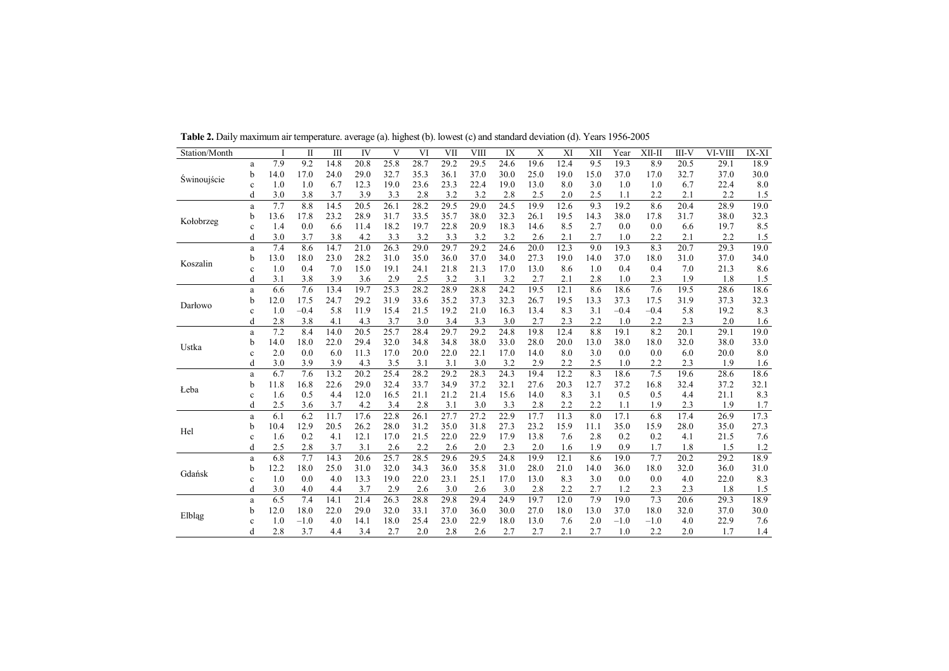| Station/Month |              |      | $\mathbf{I}$ | III  | IV   | V    | VI   | VII  | <b>VIII</b> | IX   | X    | XI   | XII  | Year   | XII-II | III-V | VI-VIII | IX-XI |
|---------------|--------------|------|--------------|------|------|------|------|------|-------------|------|------|------|------|--------|--------|-------|---------|-------|
|               | a            | 7.9  | 9.2          | 14.8 | 20.8 | 25.8 | 28.7 | 29.2 | 29.5        | 24.6 | 19.6 | 12.4 | 9.5  | 19.3   | 8.9    | 20.5  | 29.1    | 18.9  |
| Swinoujście   | b            | 14.0 | 17.0         | 24.0 | 29.0 | 32.7 | 35.3 | 36.1 | 37.0        | 30.0 | 25.0 | 19.0 | 15.0 | 37.0   | 17.0   | 32.7  | 37.0    | 30.0  |
|               | $\mathbf c$  | 1.0  | 1.0          | 6.7  | 12.3 | 19.0 | 23.6 | 23.3 | 22.4        | 19.0 | 13.0 | 8.0  | 3.0  | 1.0    | 1.0    | 6.7   | 22.4    | 8.0   |
|               | d            | 3.0  | 3.8          | 3.7  | 3.9  | 3.3  | 2.8  | 3.2  | 3.2         | 2.8  | 2.5  | 2.0  | 2.5  | 1.1    | 2.2    | 2.1   | 2.2     | 1.5   |
|               | a            | 7.7  | 8.8          | 14.5 | 20.5 | 26.1 | 28.2 | 29.5 | 29.0        | 24.5 | 19.9 | 12.6 | 9.3  | 19.2   | 8.6    | 20.4  | 28.9    | 19.0  |
| Kołobrzeg     | b            | 13.6 | 17.8         | 23.2 | 28.9 | 31.7 | 33.5 | 35.7 | 38.0        | 32.3 | 26.1 | 19.5 | 14.3 | 38.0   | 17.8   | 31.7  | 38.0    | 32.3  |
|               | $\mathbf c$  | 1.4  | 0.0          | 6.6  | 11.4 | 18.2 | 19.7 | 22.8 | 20.9        | 18.3 | 14.6 | 8.5  | 2.7  | 0.0    | 0.0    | 6.6   | 19.7    | 8.5   |
|               | d            | 3.0  | 3.7          | 3.8  | 4.2  | 3.3  | 3.2  | 3.3  | 3.2         | 3.2  | 2.6  | 2.1  | 2.7  | 1.0    | 2.2    | 2.1   | 2.2     | 1.5   |
|               | a            | 7.4  | 8.6          | 14.7 | 21.0 | 26.3 | 29.0 | 29.7 | 29.2        | 24.6 | 20.0 | 12.3 | 9.0  | 19.3   | 8.3    | 20.7  | 29.3    | 19.0  |
| Koszalin      | b            | 13.0 | 18.0         | 23.0 | 28.2 | 31.0 | 35.0 | 36.0 | 37.0        | 34.0 | 27.3 | 19.0 | 14.0 | 37.0   | 18.0   | 31.0  | 37.0    | 34.0  |
|               | $\mathbf c$  | 1.0  | 0.4          | 7.0  | 15.0 | 19.1 | 24.1 | 21.8 | 21.3        | 17.0 | 13.0 | 8.6  | 1.0  | 0.4    | 0.4    | 7.0   | 21.3    | 8.6   |
|               | d            | 3.1  | 3.8          | 3.9  | 3.6  | 2.9  | 2.5  | 3.2  | 3.1         | 3.2  | 2.7  | 2.1  | 2.8  | 1.0    | 2.3    | 1.9   | 1.8     | 1.5   |
|               | a            | 6.6  | 7.6          | 13.4 | 19.7 | 25.3 | 28.2 | 28.9 | 28.8        | 24.2 | 19.5 | 12.1 | 8.6  | 18.6   | 7.6    | 19.5  | 28.6    | 18.6  |
| Darłowo       | b            | 12.0 | 17.5         | 24.7 | 29.2 | 31.9 | 33.6 | 35.2 | 37.3        | 32.3 | 26.7 | 19.5 | 13.3 | 37.3   | 17.5   | 31.9  | 37.3    | 32.3  |
|               | $\mathbf c$  | 1.0  | $-0.4$       | 5.8  | 11.9 | 15.4 | 21.5 | 19.2 | 21.0        | 16.3 | 13.4 | 8.3  | 3.1  | $-0.4$ | $-0.4$ | 5.8   | 19.2    | 8.3   |
|               | d            | 2.8  | 3.8          | 4.1  | 4.3  | 3.7  | 3.0  | 3.4  | 3.3         | 3.0  | 2.7  | 2.3  | 2.2  | 1.0    | 2.2    | 2.3   | 2.0     | 1.6   |
|               | a            | 7.2  | 8.4          | 14.0 | 20.5 | 25.7 | 28.4 | 29.7 | 29.2        | 24.8 | 19.8 | 12.4 | 8.8  | 19.1   | 8.2    | 20.1  | 29.1    | 19.0  |
| Ustka         | b            | 14.0 | 18.0         | 22.0 | 29.4 | 32.0 | 34.8 | 34.8 | 38.0        | 33.0 | 28.0 | 20.0 | 13.0 | 38.0   | 18.0   | 32.0  | 38.0    | 33.0  |
|               | $\mathbf c$  | 2.0  | 0.0          | 6.0  | 11.3 | 17.0 | 20.0 | 22.0 | 22.1        | 17.0 | 14.0 | 8.0  | 3.0  | 0.0    | 0.0    | 6.0   | 20.0    | 8.0   |
|               | d            | 3.0  | 3.9          | 3.9  | 4.3  | 3.5  | 3.1  | 3.1  | 3.0         | 3.2  | 2.9  | 2.2  | 2.5  | 1.0    | 2.2    | 2.3   | 1.9     | 1.6   |
|               | a            | 6.7  | 7.6          | 13.2 | 20.2 | 25.4 | 28.2 | 29.2 | 28.3        | 24.3 | 19.4 | 12.2 | 8.3  | 18.6   | 7.5    | 19.6  | 28.6    | 18.6  |
|               | b            | 11.8 | 16.8         | 22.6 | 29.0 | 32.4 | 33.7 | 34.9 | 37.2        | 32.1 | 27.6 | 20.3 | 12.7 | 37.2   | 16.8   | 32.4  | 37.2    | 32.1  |
| Leba          | $\mathbf c$  | 1.6  | 0.5          | 4.4  | 12.0 | 16.5 | 21.1 | 21.2 | 21.4        | 15.6 | 14.0 | 8.3  | 3.1  | 0.5    | 0.5    | 4.4   | 21.1    | 8.3   |
|               | d            | 2.5  | 3.6          | 3.7  | 4.2  | 3.4  | 2.8  | 3.1  | 3.0         | 3.3  | 2.8  | 2.2  | 2.2  | 1.1    | 1.9    | 2.3   | 1.9     | 1.7   |
|               | a            | 6.1  | 6.2          | 11.7 | 17.6 | 22.8 | 26.1 | 27.7 | 27.2        | 22.9 | 17.7 | 11.3 | 8.0  | 17.1   | 6.8    | 17.4  | 26.9    | 17.3  |
| Hel           | b            | 10.4 | 12.9         | 20.5 | 26.2 | 28.0 | 31.2 | 35.0 | 31.8        | 27.3 | 23.2 | 15.9 | 11.1 | 35.0   | 15.9   | 28.0  | 35.0    | 27.3  |
|               | $\mathbf c$  | 1.6  | 0.2          | 4.1  | 12.1 | 17.0 | 21.5 | 22.0 | 22.9        | 17.9 | 13.8 | 7.6  | 2.8  | 0.2    | 0.2    | 4.1   | 21.5    | 7.6   |
|               | d            | 2.5  | 2.8          | 3.7  | 3.1  | 2.6  | 2.2  | 2.6  | 2.0         | 2.3  | 2.0  | 1.6  | 1.9  | 0.9    | 1.7    | 1.8   | 1.5     | 1.2   |
|               | a            | 6.8  | 7.7          | 14.3 | 20.6 | 25.7 | 28.5 | 29.6 | 29.5        | 24.8 | 19.9 | 12.1 | 8.6  | 19.0   | 7.7    | 20.2  | 29.2    | 18.9  |
| Gdańsk        | b            | 12.2 | 18.0         | 25.0 | 31.0 | 32.0 | 34.3 | 36.0 | 35.8        | 31.0 | 28.0 | 21.0 | 14.0 | 36.0   | 18.0   | 32.0  | 36.0    | 31.0  |
|               | $\mathbf c$  | 1.0  | 0.0          | 4.0  | 13.3 | 19.0 | 22.0 | 23.1 | 25.1        | 17.0 | 13.0 | 8.3  | 3.0  | 0.0    | 0.0    | 4.0   | 22.0    | 8.3   |
|               | d            | 3.0  | 4.0          | 4.4  | 3.7  | 2.9  | 2.6  | 3.0  | 2.6         | 3.0  | 2.8  | 2.2  | 2.7  | 1.2    | 2.3    | 2.3   | 1.8     | 1.5   |
|               | a            | 6.5  | 7.4          | 14.1 | 21.4 | 26.3 | 28.8 | 29.8 | 29.4        | 24.9 | 19.7 | 12.0 | 7.9  | 19.0   | 7.3    | 20.6  | 29.3    | 18.9  |
|               | b            | 12.0 | 18.0         | 22.0 | 29.0 | 32.0 | 33.1 | 37.0 | 36.0        | 30.0 | 27.0 | 18.0 | 13.0 | 37.0   | 18.0   | 32.0  | 37.0    | 30.0  |
| Elbląg        | $\mathbf{c}$ | 1.0  | $-1.0$       | 4.0  | 14.1 | 18.0 | 25.4 | 23.0 | 22.9        | 18.0 | 13.0 | 7.6  | 2.0  | $-1.0$ | $-1.0$ | 4.0   | 22.9    | 7.6   |
|               | d            | 2.8  | 3.7          | 4.4  | 3.4  | 2.7  | 2.0  | 2.8  | 2.6         | 2.7  | 2.7  | 2.1  | 2.7  | 1.0    | 2.2    | 2.0   | 1.7     | 1.4   |

Table 2. Daily maximum air temperature. average (a). highest (b). lowest (c) and standard deviation (d). Years 1956-2005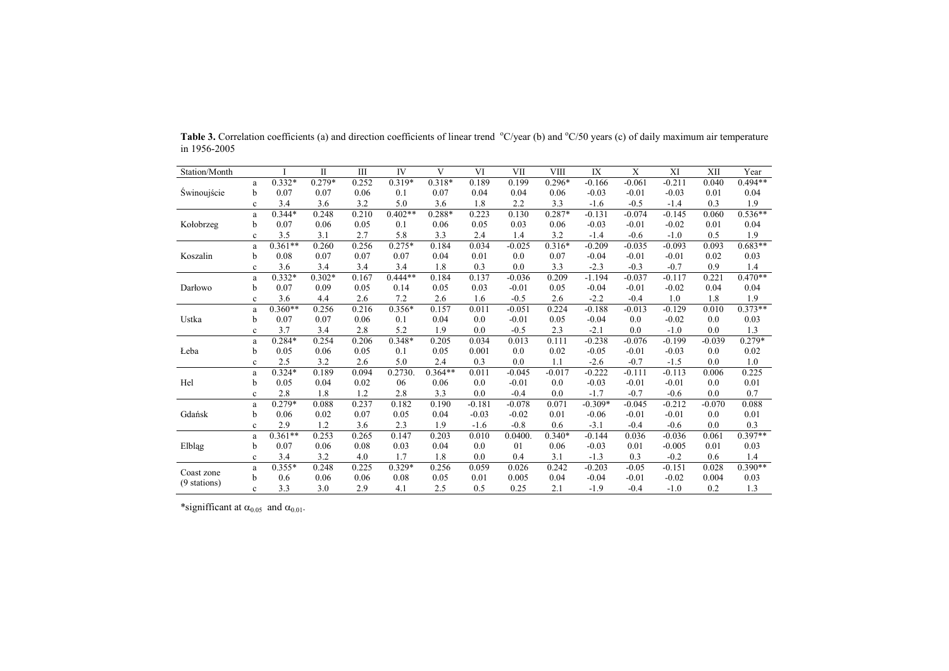| Station/Month |              |           | П        | $\mathbf{I}$ | IV        | V         | VI       | VII      | <b>VIII</b> | IX        | X        | XI       | XII      | Year      |
|---------------|--------------|-----------|----------|--------------|-----------|-----------|----------|----------|-------------|-----------|----------|----------|----------|-----------|
|               | a            | $0.332*$  | $0.279*$ | 0.252        | $0.319*$  | 0.318*    | 0.189    | 0.199    | $0.296*$    | $-0.166$  | $-0.061$ | $-0.211$ | 0.040    | $0.494**$ |
| Swinoujście   | b            | 0.07      | 0.07     | 0.06         | 0.1       | 0.07      | 0.04     | 0.04     | 0.06        | $-0.03$   | $-0.01$  | $-0.03$  | 0.01     | 0.04      |
|               | $\mathbf{c}$ | 3.4       | 3.6      | 3.2          | 5.0       | 3.6       | 1.8      | 2.2      | 3.3         | $-1.6$    | $-0.5$   | $-1.4$   | 0.3      | 1.9       |
|               | a            | $0.344*$  | 0.248    | 0.210        | $0.402**$ | 0.288*    | 0.223    | 0.130    | 0.287*      | $-0.131$  | $-0.074$ | $-0.145$ | 0.060    | $0.536**$ |
| Kołobrzeg     | b            | 0.07      | 0.06     | 0.05         | 0.1       | 0.06      | 0.05     | 0.03     | 0.06        | $-0.03$   | $-0.01$  | $-0.02$  | 0.01     | 0.04      |
|               | $\mathbf{c}$ | 3.5       | 3.1      | 2.7          | 5.8       | 3.3       | 2.4      | 1.4      | 3.2         | $-1.4$    | $-0.6$   | $-1.0$   | 0.5      | 1.9       |
|               | a            | $0.361**$ | 0.260    | 0.256        | $0.275*$  | 0.184     | 0.034    | $-0.025$ | $0.316*$    | $-0.209$  | $-0.035$ | $-0.093$ | 0.093    | $0.683**$ |
| Koszalin      | b            | 0.08      | 0.07     | 0.07         | 0.07      | 0.04      | 0.01     | 0.0      | 0.07        | $-0.04$   | $-0.01$  | $-0.01$  | 0.02     | 0.03      |
|               | $\mathbf c$  | 3.6       | 3.4      | 3.4          | 3.4       | 1.8       | 0.3      | 0.0      | 3.3         | $-2.3$    | $-0.3$   | $-0.7$   | 0.9      | 1.4       |
|               | a            | $0.332*$  | $0.302*$ | 0.167        | $0.444**$ | 0.184     | 0.137    | $-0.036$ | 0.209       | $-1.194$  | $-0.037$ | $-0.117$ | 0.221    | $0.470**$ |
| Darłowo       | b            | 0.07      | 0.09     | 0.05         | 0.14      | 0.05      | 0.03     | $-0.01$  | 0.05        | $-0.04$   | $-0.01$  | $-0.02$  | 0.04     | 0.04      |
|               | $\mathbf c$  | 3.6       | 4.4      | 2.6          | 7.2       | 2.6       | 1.6      | $-0.5$   | 2.6         | $-2.2$    | $-0.4$   | 1.0      | 1.8      | 1.9       |
|               | a            | $0.360**$ | 0.256    | 0.216        | $0.356*$  | 0.157     | 0.011    | $-0.051$ | 0.224       | $-0.188$  | $-0.013$ | $-0.129$ | 0.010    | $0.373**$ |
| Ustka         | b            | 0.07      | 0.07     | 0.06         | 0.1       | 0.04      | 0.0      | $-0.01$  | 0.05        | $-0.04$   | 0.0      | $-0.02$  | 0.0      | 0.03      |
|               | $\mathbf c$  | 3.7       | 3.4      | 2.8          | 5.2       | 1.9       | 0.0      | $-0.5$   | 2.3         | $-2.1$    | 0.0      | $-1.0$   | 0.0      | 1.3       |
|               | a            | $0.284*$  | 0.254    | 0.206        | 0.348*    | 0.205     | 0.034    | 0.013    | 0.111       | $-0.238$  | $-0.076$ | $-0.199$ | $-0.039$ | $0.279*$  |
| Leba          | b            | 0.05      | 0.06     | 0.05         | 0.1       | 0.05      | 0.001    | 0.0      | 0.02        | $-0.05$   | $-0.01$  | $-0.03$  | 0.0      | 0.02      |
|               | $\mathbf c$  | 2.5       | 3.2      | 2.6          | 5.0       | 2.4       | 0.3      | 0.0      | 1.1         | $-2.6$    | $-0.7$   | $-1.5$   | 0.0      | 1.0       |
|               | a            | $0.324*$  | 0.189    | 0.094        | 0.2730.   | $0.364**$ | 0.011    | $-0.045$ | $-0.017$    | $-0.222$  | $-0.111$ | $-0.113$ | 0.006    | 0.225     |
| Hel           | b            | 0.05      | 0.04     | 0.02         | 06        | 0.06      | 0.0      | $-0.01$  | 0.0         | $-0.03$   | $-0.01$  | $-0.01$  | 0.0      | 0.01      |
|               | $\mathbf c$  | 2.8       | 1.8      | 1.2          | 2.8       | 3.3       | 0.0      | $-0.4$   | 0.0         | $-1.7$    | $-0.7$   | $-0.6$   | 0.0      | 0.7       |
|               | a            | $0.279*$  | 0.088    | 0.237        | 0.182     | 0.190     | $-0.181$ | $-0.078$ | 0.071       | $-0.309*$ | $-0.045$ | $-0.212$ | $-0.070$ | 0.088     |
| Gdańsk        | b            | 0.06      | 0.02     | 0.07         | 0.05      | 0.04      | $-0.03$  | $-0.02$  | 0.01        | $-0.06$   | $-0.01$  | $-0.01$  | 0.0      | 0.01      |
|               | $\mathbf c$  | 2.9       | 1.2      | 3.6          | 2.3       | 1.9       | $-1.6$   | $-0.8$   | 0.6         | $-3.1$    | $-0.4$   | $-0.6$   | 0.0      | 0.3       |
|               | a            | $0.361**$ | 0.253    | 0.265        | 0.147     | 0.203     | 0.010    | 0.0400.  | $0.340*$    | $-0.144$  | 0.036    | $-0.036$ | 0.061    | $0.397**$ |
| Elbląg        | b            | 0.07      | 0.06     | 0.08         | 0.03      | 0.04      | 0.0      | 01       | 0.06        | $-0.03$   | 0.01     | $-0.005$ | 0.01     | 0.03      |
|               | $\mathbf c$  | 3.4       | 3.2      | 4.0          | 1.7       | 1.8       | 0.0      | 0.4      | 3.1         | $-1.3$    | 0.3      | $-0.2$   | 0.6      | 1.4       |
| Coast zone    | a            | $0.355*$  | 0.248    | 0.225        | $0.329*$  | 0.256     | 0.059    | 0.026    | 0.242       | $-0.203$  | $-0.05$  | $-0.151$ | 0.028    | $0.390**$ |
| (9 stations)  | b            | 0.6       | 0.06     | 0.06         | 0.08      | 0.05      | 0.01     | 0.005    | 0.04        | $-0.04$   | $-0.01$  | $-0.02$  | 0.004    | 0.03      |
|               | $\mathbf{c}$ | 3.3       | 3.0      | 2.9          | 4.1       | 2.5       | 0.5      | 0.25     | 2.1         | $-1.9$    | $-0.4$   | $-1.0$   | 0.2      | 1.3       |

Table 3. Correlation coefficients (a) and direction coefficients of linear trend <sup>o</sup>C/year (b) and <sup>o</sup>C/50 years (c) of daily maximum air temperature in 1956-2005

\*signifficant at  $\alpha_{0.05}$  and  $\alpha_{0.01}$ .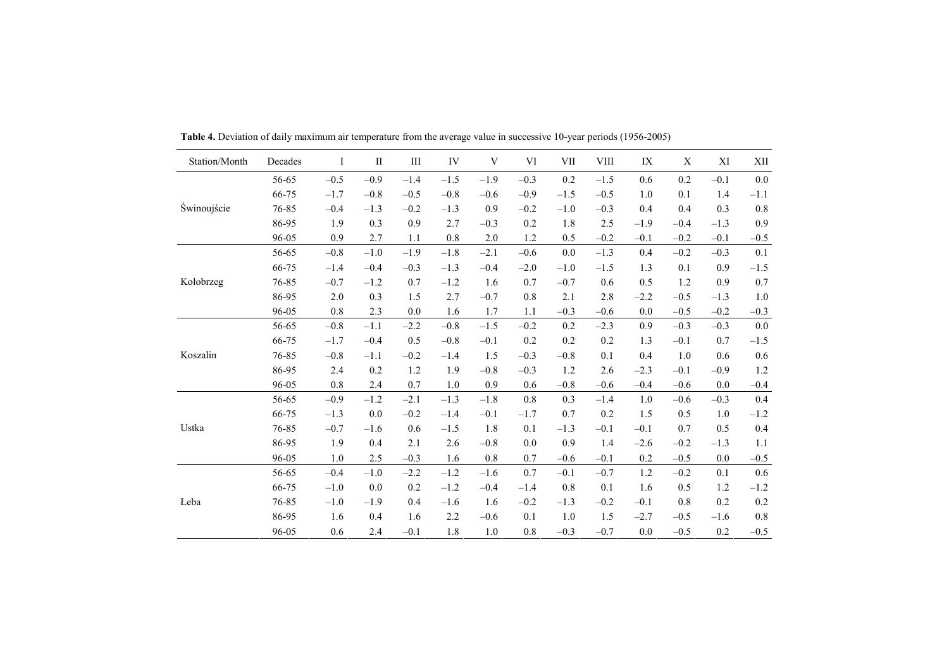| Station/Month | Decades | Ι       | $\mathbf{I}$ | Ш      | IV      | V       | VI      | VII    | <b>VIII</b> | IX      | X      | XI     | XII     |
|---------------|---------|---------|--------------|--------|---------|---------|---------|--------|-------------|---------|--------|--------|---------|
|               | 56-65   | $-0.5$  | $-0.9$       | $-1.4$ | $-1.5$  | $-1.9$  | $-0.3$  | 0.2    | $-1.5$      | 0.6     | 0.2    | $-0.1$ | $0.0\,$ |
|               | 66-75   | $-1.7$  | $-0.8$       | $-0.5$ | $-0.8$  | $-0.6$  | $-0.9$  | $-1.5$ | $-0.5$      | 1.0     | 0.1    | 1.4    | $-1.1$  |
| Świnoujście   | 76-85   | $-0.4$  | $-1.3$       | $-0.2$ | $-1.3$  | 0.9     | $-0.2$  | $-1.0$ | $-0.3$      | 0.4     | 0.4    | 0.3    | $0.8\,$ |
|               | 86-95   | 1.9     | 0.3          | 0.9    | 2.7     | $-0.3$  | 0.2     | 1.8    | $2.5\,$     | $-1.9$  | $-0.4$ | $-1.3$ | 0.9     |
|               | 96-05   | 0.9     | 2.7          | 1.1    | 0.8     | $2.0\,$ | 1.2     | 0.5    | $-0.2$      | $-0.1$  | $-0.2$ | $-0.1$ | $-0.5$  |
|               | 56-65   | $-0.8$  | $-1.0$       | $-1.9$ | $-1.8$  | $-2.1$  | $-0.6$  | 0.0    | $-1.3$      | 0.4     | $-0.2$ | $-0.3$ | 0.1     |
|               | 66-75   | $-1.4$  | $-0.4$       | $-0.3$ | $-1.3$  | $-0.4$  | $-2.0$  | $-1.0$ | $-1.5$      | 1.3     | 0.1    | 0.9    | $-1.5$  |
| Kołobrzeg     | 76-85   | $-0.7$  | $-1.2$       | 0.7    | $-1.2$  | 1.6     | 0.7     | $-0.7$ | 0.6         | 0.5     | 1.2    | 0.9    | $0.7\,$ |
|               | 86-95   | $2.0\,$ | 0.3          | 1.5    | 2.7     | $-0.7$  | $0.8\,$ | 2.1    | 2.8         | $-2.2$  | $-0.5$ | $-1.3$ | $1.0\,$ |
|               | 96-05   | $0.8\,$ | 2.3          | 0.0    | 1.6     | 1.7     | $1.1\,$ | $-0.3$ | $-0.6$      | 0.0     | $-0.5$ | $-0.2$ | $-0.3$  |
|               | 56-65   | $-0.8$  | $-1.1$       | $-2.2$ | $-0.8$  | $-1.5$  | $-0.2$  | 0.2    | $-2.3$      | 0.9     | $-0.3$ | $-0.3$ | $0.0\,$ |
|               | 66-75   | $-1.7$  | $-0.4$       | 0.5    | $-0.8$  | $-0.1$  | 0.2     | 0.2    | 0.2         | 1.3     | $-0.1$ | 0.7    | $-1.5$  |
| Koszalin      | 76-85   | $-0.8$  | $-1.1$       | $-0.2$ | $-1.4$  | 1.5     | $-0.3$  | $-0.8$ | 0.1         | 0.4     | 1.0    | 0.6    | $0.6\,$ |
|               | 86-95   | 2.4     | 0.2          | 1.2    | 1.9     | $-0.8$  | $-0.3$  | 1.2    | 2.6         | $-2.3$  | $-0.1$ | $-0.9$ | $1.2\,$ |
|               | 96-05   | $0.8\,$ | 2.4          | 0.7    | $1.0\,$ | 0.9     | 0.6     | $-0.8$ | $-0.6$      | $-0.4$  | $-0.6$ | 0.0    | $-0.4$  |
|               | 56-65   | $-0.9$  | $-1.2$       | $-2.1$ | $-1.3$  | $-1.8$  | 0.8     | 0.3    | $-1.4$      | 1.0     | $-0.6$ | $-0.3$ | 0.4     |
|               | 66-75   | $-1.3$  | 0.0          | $-0.2$ | $-1.4$  | $-0.1$  | $-1.7$  | 0.7    | 0.2         | 1.5     | 0.5    | 1.0    | $-1.2$  |
| Ustka         | 76-85   | $-0.7$  | $-1.6$       | 0.6    | $-1.5$  | 1.8     | $0.1\,$ | $-1.3$ | $-0.1$      | $-0.1$  | 0.7    | 0.5    | 0.4     |
|               | 86-95   | 1.9     | 0.4          | 2.1    | 2.6     | $-0.8$  | 0.0     | 0.9    | 1.4         | $-2.6$  | $-0.2$ | $-1.3$ | 1.1     |
|               | 96-05   | $1.0$   | 2.5          | $-0.3$ | 1.6     | $0.8\,$ | 0.7     | $-0.6$ | $-0.1$      | 0.2     | $-0.5$ | 0.0    | $-0.5$  |
|               | 56-65   | $-0.4$  | $-1.0$       | $-2.2$ | $-1.2$  | $-1.6$  | 0.7     | $-0.1$ | $-0.7$      | $1.2\,$ | $-0.2$ | 0.1    | $0.6\,$ |
|               | 66-75   | $-1.0$  | 0.0          | 0.2    | $-1.2$  | $-0.4$  | $-1.4$  | 0.8    | 0.1         | 1.6     | 0.5    | 1.2    | $-1.2$  |
| Leba          | 76-85   | $-1.0$  | $-1.9$       | 0.4    | $-1.6$  | 1.6     | $-0.2$  | $-1.3$ | $-0.2$      | $-0.1$  | 0.8    | 0.2    | $0.2\,$ |
|               | 86-95   | 1.6     | 0.4          | 1.6    | 2.2     | $-0.6$  | 0.1     | 1.0    | 1.5         | $-2.7$  | $-0.5$ | $-1.6$ | $0.8\,$ |
|               | 96-05   | 0.6     | 2.4          | $-0.1$ | 1.8     | 1.0     | 0.8     | $-0.3$ | $-0.7$      | 0.0     | $-0.5$ | 0.2    | $-0.5$  |

Table 4. Deviation of daily maximum air temperature from the average value in successive 10-year periods (1956-2005)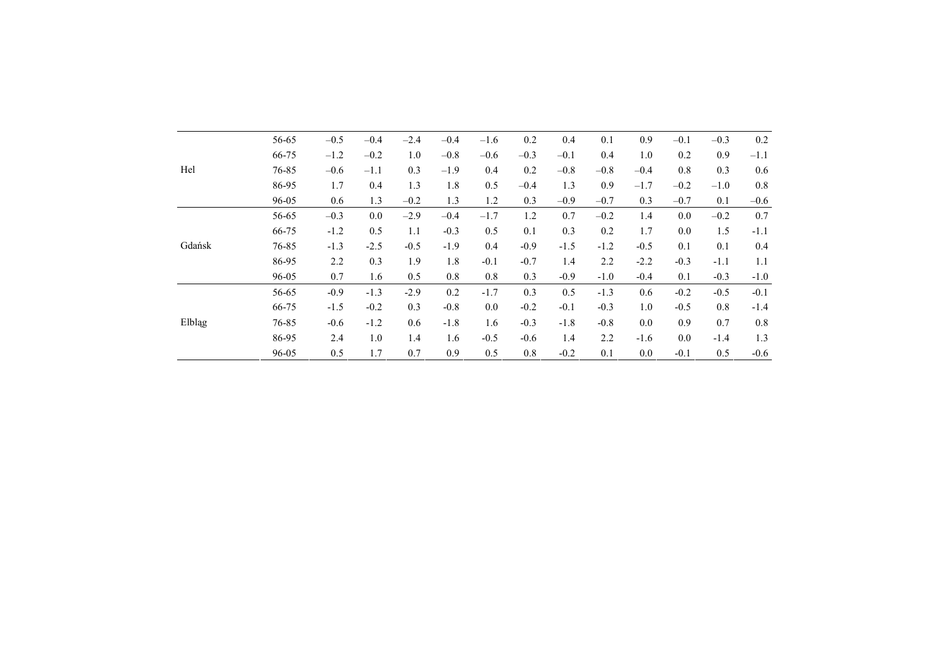|        | 56-65 | $-0.5$ | $-0.4$ | $-2.4$ | $-0.4$ | $-1.6$ | 0.2    | 0.4    | 0.1    | 0.9    | $-0.1$  | $-0.3$ | 0.2    |
|--------|-------|--------|--------|--------|--------|--------|--------|--------|--------|--------|---------|--------|--------|
|        | 66-75 | $-1.2$ | $-0.2$ | 1.0    | $-0.8$ | $-0.6$ | $-0.3$ | $-0.1$ | 0.4    | 1.0    | 0.2     | 0.9    | $-1.1$ |
| Hel    | 76-85 | $-0.6$ | $-1.1$ | 0.3    | $-1.9$ | 0.4    | 0.2    | $-0.8$ | $-0.8$ | $-0.4$ | $0.8\,$ | 0.3    | 0.6    |
|        | 86-95 | 1.7    | 0.4    | 1.3    | 1.8    | 0.5    | $-0.4$ | 1.3    | 0.9    | $-1.7$ | $-0.2$  | $-1.0$ | 0.8    |
|        | 96-05 | 0.6    | 1.3    | $-0.2$ | 1.3    | 1.2    | 0.3    | $-0.9$ | $-0.7$ | 0.3    | $-0.7$  | 0.1    | $-0.6$ |
|        | 56-65 | $-0.3$ | 0.0    | $-2.9$ | $-0.4$ | $-1.7$ | 1.2    | 0.7    | $-0.2$ | 1.4    | 0.0     | $-0.2$ | 0.7    |
|        | 66-75 | $-1.2$ | 0.5    | 1.1    | $-0.3$ | 0.5    | 0.1    | 0.3    | 0.2    | 1.7    | 0.0     | 1.5    | $-1.1$ |
| Gdańsk | 76-85 | $-1.3$ | $-2.5$ | $-0.5$ | $-1.9$ | 0.4    | $-0.9$ | $-1.5$ | $-1.2$ | $-0.5$ | 0.1     | 0.1    | 0.4    |
|        | 86-95 | 2.2    | 0.3    | 1.9    | 1.8    | $-0.1$ | $-0.7$ | 1.4    | 2.2    | $-2.2$ | $-0.3$  | $-1.1$ | 1.1    |
|        | 96-05 | 0.7    | 1.6    | 0.5    | 0.8    | 0.8    | 0.3    | $-0.9$ | $-1.0$ | $-0.4$ | 0.1     | $-0.3$ | $-1.0$ |
|        | 56-65 | $-0.9$ | $-1.3$ | $-2.9$ | 0.2    | $-1.7$ | 0.3    | 0.5    | $-1.3$ | 0.6    | $-0.2$  | $-0.5$ | $-0.1$ |
|        | 66-75 | $-1.5$ | $-0.2$ | 0.3    | $-0.8$ | 0.0    | $-0.2$ | $-0.1$ | $-0.3$ | 1.0    | $-0.5$  | 0.8    | $-1.4$ |
| Elbląg | 76-85 | $-0.6$ | $-1.2$ | 0.6    | $-1.8$ | 1.6    | $-0.3$ | $-1.8$ | $-0.8$ | 0.0    | 0.9     | 0.7    | 0.8    |
|        | 86-95 | 2.4    | 1.0    | 1.4    | 1.6    | $-0.5$ | $-0.6$ | 1.4    | 2.2    | $-1.6$ | $0.0\,$ | $-1.4$ | 1.3    |
|        | 96-05 | 0.5    | 1.7    | 0.7    | 0.9    | 0.5    | 0.8    | $-0.2$ | 0.1    | 0.0    | $-0.1$  | 0.5    | $-0.6$ |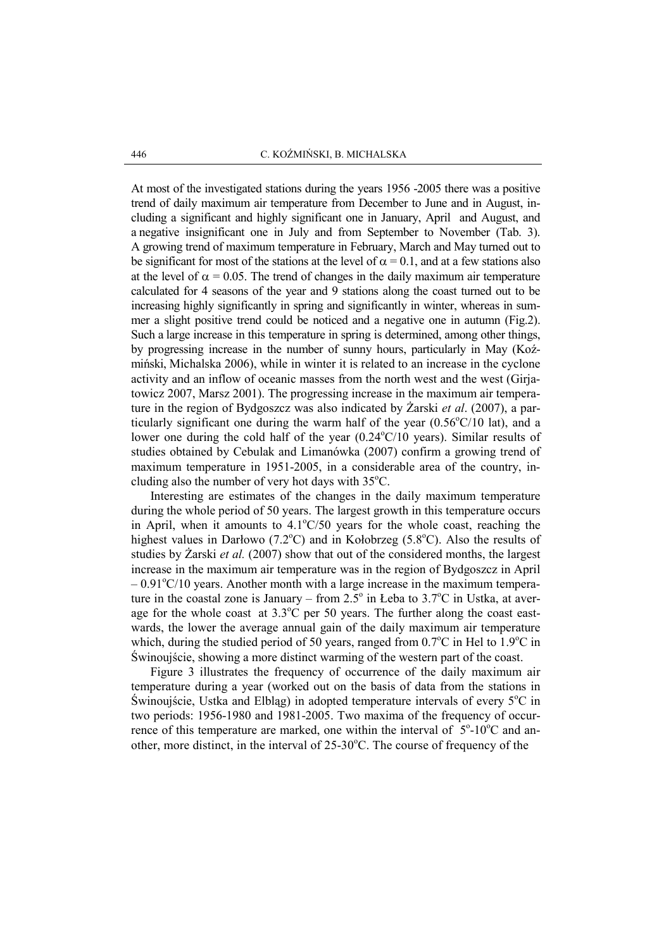At most of the investigated stations during the years 1956 -2005 there was a positive trend of daily maximum air temperature from December to June and in August, including a significant and highly significant one in January, April and August, and a negative insignificant one in July and from September to November (Tab. 3). A growing trend of maximum temperature in February, March and May turned out to be significant for most of the stations at the level of  $\alpha = 0.1$ , and at a few stations also at the level of  $\alpha = 0.05$ . The trend of changes in the daily maximum air temperature calculated for 4 seasons of the year and 9 stations along the coast turned out to be increasing highly significantly in spring and significantly in winter, whereas in summer a slight positive trend could be noticed and a negative one in autumn (Fig.2). Such a large increase in this temperature in spring is determined, among other things, by progressing increase in the number of sunny hours, particularly in May (Koźmiński, Michalska 2006), while in winter it is related to an increase in the cyclone activity and an inflow of oceanic masses from the north west and the west (Girjatowicz 2007, Marsz 2001). The progressing increase in the maximum air temperature in the region of Bydgoszcz was also indicated by  $\overline{Z}$ arski *et al.* (2007), a particularly significant one during the warm half of the year  $(0.56\textdegree C/10 \text{ lat})$ , and a lower one during the cold half of the year  $(0.24\textdegree C/10 \textdegree \text{years})$ . Similar results of studies obtained by Cebulak and Limanówka (2007) confirm a growing trend of maximum temperature in 1951-2005, in a considerable area of the country, including also the number of very hot days with  $35^{\circ}$ C.

 Interesting are estimates of the changes in the daily maximum temperature during the whole period of 50 years. The largest growth in this temperature occurs in April, when it amounts to  $4.1^{\circ}C/50$  years for the whole coast, reaching the highest values in Darłowo (7.2 $^{\circ}$ C) and in Kołobrzeg (5.8 $^{\circ}$ C). Also the results of studies by  $\overline{Z}$ arski *et al.* (2007) show that out of the considered months, the largest increase in the maximum air temperature was in the region of Bydgoszcz in April  $-0.91^{\circ}$ C/10 years. Another month with a large increase in the maximum temperature in the coastal zone is January – from  $2.5^{\circ}$  in Łeba to  $3.7^{\circ}$ C in Ustka, at average for the whole coast at  $3.3^{\circ}$ C per 50 years. The further along the coast eastwards, the lower the average annual gain of the daily maximum air temperature which, during the studied period of 50 years, ranged from  $0.7^{\circ}$ C in Hel to  $1.9^{\circ}$ C in Świnoujście, showing a more distinct warming of the western part of the coast.

 Figure 3 illustrates the frequency of occurrence of the daily maximum air temperature during a year (worked out on the basis of data from the stations in Swinoujście, Ustka and Elbląg) in adopted temperature intervals of every  $5^{\circ}$ C in two periods: 1956-1980 and 1981-2005. Two maxima of the frequency of occurrence of this temperature are marked, one within the interval of  $5^{\circ}$ -10 $^{\circ}$ C and another, more distinct, in the interval of  $25{\text -}30^{\circ}\text{C}$ . The course of frequency of the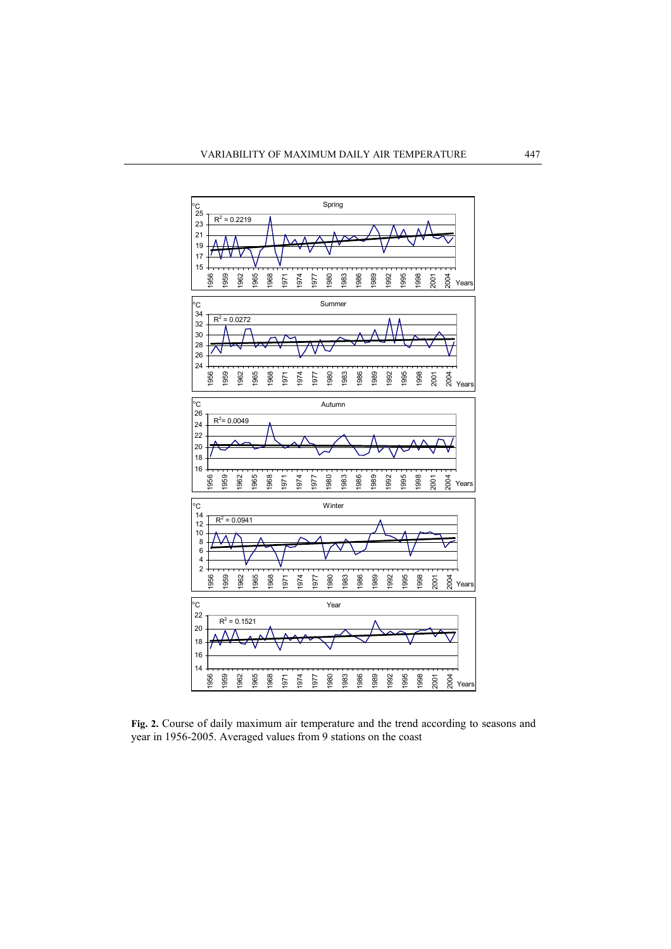

Fig. 2. Course of daily maximum air temperature and the trend according to seasons and year in 1956-2005. Averaged values from 9 stations on the coast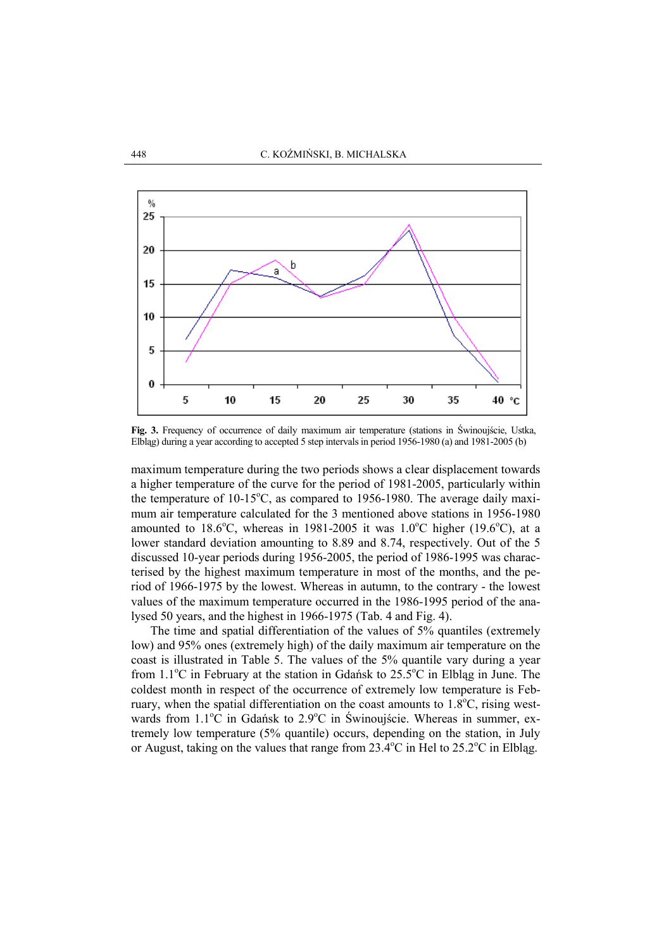

Fig. 3. Frequency of occurrence of daily maximum air temperature (stations in Świnoujście, Ustka, Elbląg) during a year according to accepted 5 step intervals in period 1956-1980 (a) and 1981-2005 (b)

maximum temperature during the two periods shows a clear displacement towards a higher temperature of the curve for the period of 1981-2005, particularly within the temperature of  $10-15^{\circ}$ C, as compared to 1956-1980. The average daily maximum air temperature calculated for the 3 mentioned above stations in 1956-1980 amounted to 18.6<sup>o</sup>C, whereas in 1981-2005 it was 1.0<sup>o</sup>C higher (19.6<sup>o</sup>C), at a lower standard deviation amounting to 8.89 and 8.74, respectively. Out of the 5 discussed 10-year periods during 1956-2005, the period of 1986-1995 was characterised by the highest maximum temperature in most of the months, and the period of 1966-1975 by the lowest. Whereas in autumn, to the contrary - the lowest values of the maximum temperature occurred in the 1986-1995 period of the analysed 50 years, and the highest in 1966-1975 (Tab. 4 and Fig. 4).

 The time and spatial differentiation of the values of 5% quantiles (extremely low) and 95% ones (extremely high) of the daily maximum air temperature on the coast is illustrated in Table 5. The values of the 5% quantile vary during a year from 1.1°C in February at the station in Gdańsk to 25.5°C in Elbląg in June. The coldest month in respect of the occurrence of extremely low temperature is February, when the spatial differentiation on the coast amounts to  $1.8^{\circ}$ C, rising westwards from 1.1<sup>o</sup>C in Gdańsk to 2.9<sup>o</sup>C in Świnoujście. Whereas in summer, extremely low temperature (5% quantile) occurs, depending on the station, in July or August, taking on the values that range from  $23.4^{\circ}$ C in Hel to  $25.2^{\circ}$ C in Elblag.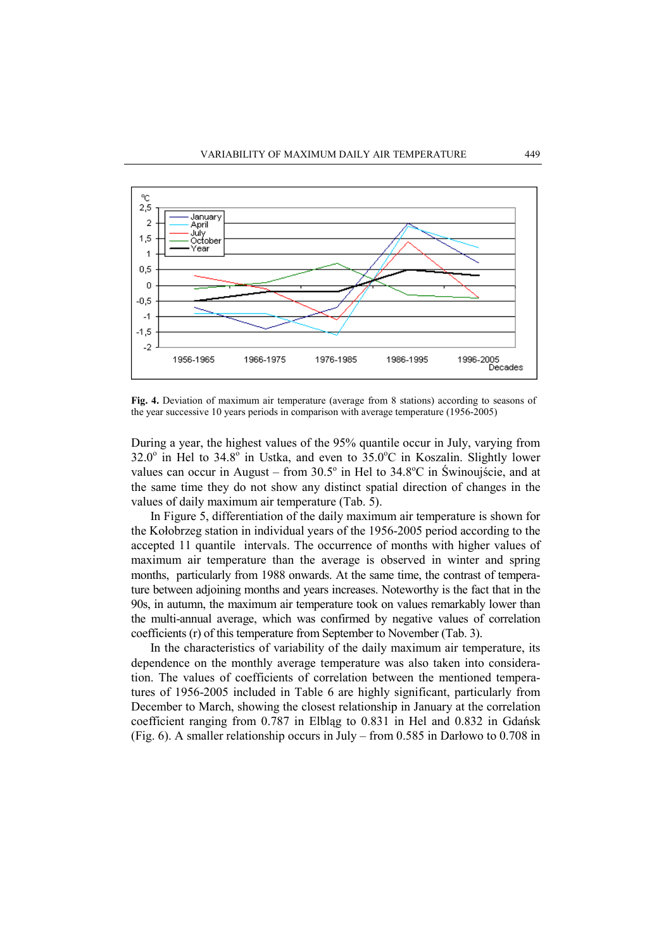

Fig. 4. Deviation of maximum air temperature (average from 8 stations) according to seasons of the year successive 10 years periods in comparison with average temperature (1956-2005)

During a year, the highest values of the 95% quantile occur in July, varying from  $32.0^\circ$  in Hel to  $34.8^\circ$  in Ustka, and even to  $35.0^\circ$ C in Koszalin. Slightly lower values can occur in August – from  $30.5^{\circ}$  in Hel to  $34.8^{\circ}$ C in Świnoujście, and at the same time they do not show any distinct spatial direction of changes in the values of daily maximum air temperature (Tab. 5).

 In Figure 5, differentiation of the daily maximum air temperature is shown for the Kołobrzeg station in individual years of the 1956-2005 period according to the accepted 11 quantile intervals. The occurrence of months with higher values of maximum air temperature than the average is observed in winter and spring months, particularly from 1988 onwards. At the same time, the contrast of temperature between adjoining months and years increases. Noteworthy is the fact that in the 90s, in autumn, the maximum air temperature took on values remarkably lower than the multi-annual average, which was confirmed by negative values of correlation coefficients (r) of this temperature from September to November (Tab. 3).

 In the characteristics of variability of the daily maximum air temperature, its dependence on the monthly average temperature was also taken into consideration. The values of coefficients of correlation between the mentioned temperatures of 1956-2005 included in Table 6 are highly significant, particularly from December to March, showing the closest relationship in January at the correlation coefficient ranging from 0.787 in Elbląg to 0.831 in Hel and 0.832 in Gdańsk (Fig. 6). A smaller relationship occurs in July – from 0.585 in Darłowo to 0.708 in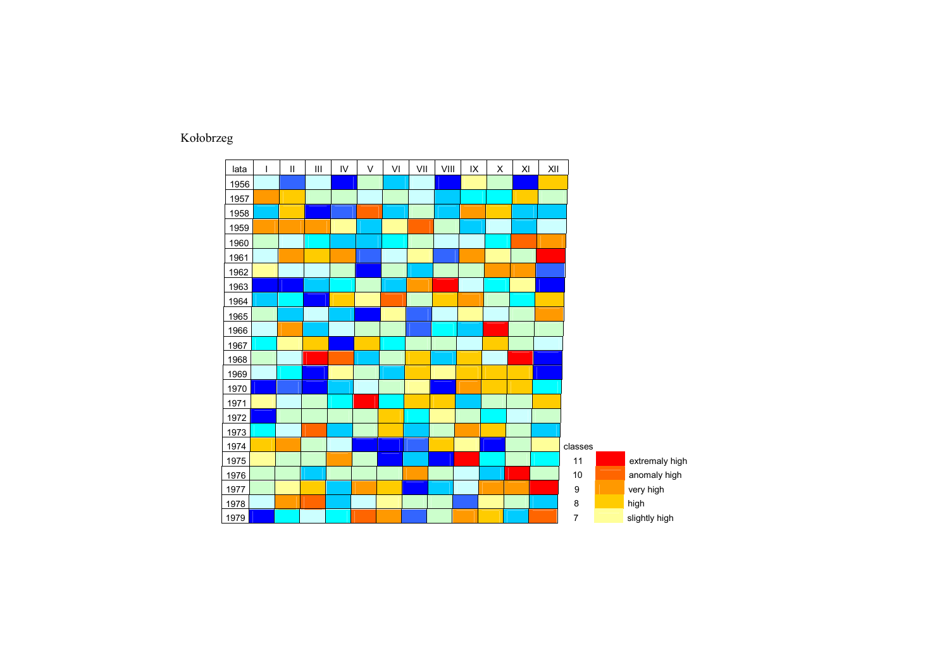## Kołobrzeg

| lata | $\overline{1}$ | $\mathbf{II}$ | Ш | IV | $\vee$ | VI | VII | VIII | IX | X | XI | XII |                  |                |
|------|----------------|---------------|---|----|--------|----|-----|------|----|---|----|-----|------------------|----------------|
| 1956 |                |               |   |    |        |    |     |      |    |   |    |     |                  |                |
| 1957 |                |               |   |    |        |    |     |      |    |   |    |     |                  |                |
| 1958 |                |               |   |    |        |    |     |      |    |   |    |     |                  |                |
| 1959 |                |               |   |    |        |    |     |      |    |   |    |     |                  |                |
| 1960 |                |               |   |    |        |    |     |      |    |   |    |     |                  |                |
| 1961 |                |               |   |    |        |    |     |      |    |   |    |     |                  |                |
| 1962 |                |               |   |    |        |    |     |      |    |   |    |     |                  |                |
| 1963 |                |               |   |    |        |    |     |      |    |   |    |     |                  |                |
| 1964 |                |               |   |    |        |    |     |      |    |   |    |     |                  |                |
| 1965 |                |               |   |    |        |    |     |      |    |   |    |     |                  |                |
| 1966 |                |               |   |    |        |    |     |      |    |   |    |     |                  |                |
| 1967 |                |               |   |    |        |    |     |      |    |   |    |     |                  |                |
| 1968 |                |               |   |    |        |    |     |      |    |   |    |     |                  |                |
| 1969 |                |               |   |    |        |    |     |      |    |   |    |     |                  |                |
| 1970 |                |               |   |    |        |    |     |      |    |   |    |     |                  |                |
| 1971 |                |               |   |    |        |    |     |      |    |   |    |     |                  |                |
| 1972 |                |               |   |    |        |    |     |      |    |   |    |     |                  |                |
| 1973 |                |               |   |    |        |    |     |      |    |   |    |     |                  |                |
| 1974 |                |               |   |    |        |    |     |      |    |   |    |     | classes          |                |
| 1975 |                |               |   |    |        |    |     |      |    |   |    |     | 11               | extremaly high |
| 1976 |                |               |   |    |        |    |     |      |    |   |    |     | $10\,$           | anomaly high   |
| 1977 |                |               |   |    |        |    |     |      |    |   |    |     | $\boldsymbol{9}$ | very high      |
| 1978 |                |               |   |    |        |    |     |      |    |   |    |     | $\bf 8$          | high           |
| 1979 |                |               |   |    |        |    |     |      |    |   |    |     | $\overline{7}$   | slightly high  |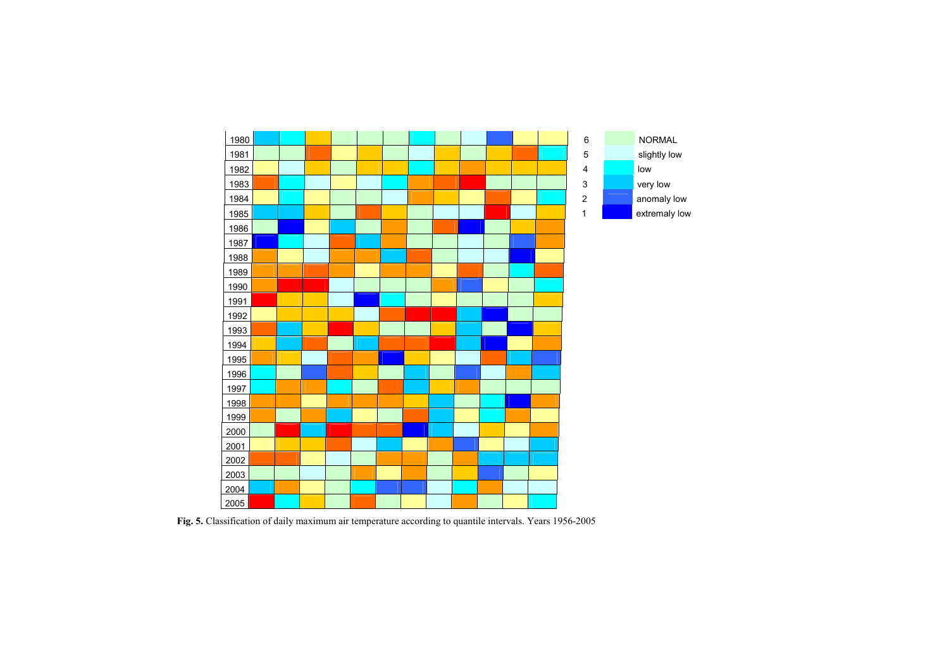

Fig. 5. Classification of daily maximum air temperature according to quantile intervals. Years 1956-2005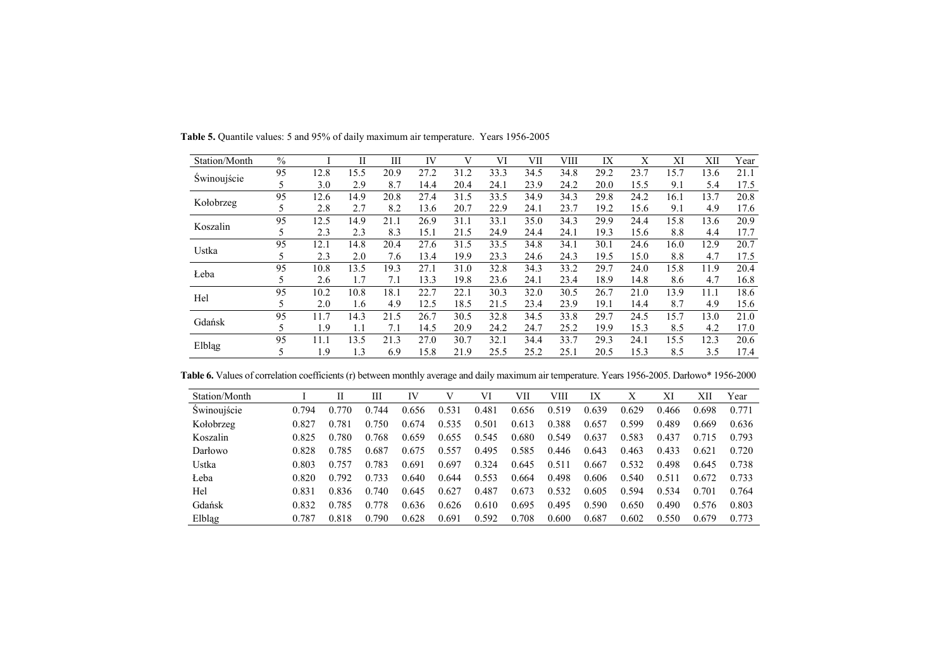| Station/Month | $\frac{0}{0}$ |      | П    | Ш    | IV   | V    | VI   | VII  | VIII | IX   | X    | XI   | XII  | Year |
|---------------|---------------|------|------|------|------|------|------|------|------|------|------|------|------|------|
| Świnoujście   | 95            | 12.8 | 15.5 | 20.9 | 27.2 | 31.2 | 33.3 | 34.5 | 34.8 | 29.2 | 23.7 | 15.7 | 13.6 | 21.1 |
|               | 5             | 3.0  | 2.9  | 8.7  | 14.4 | 20.4 | 24.1 | 23.9 | 24.2 | 20.0 | 15.5 | 9.1  | 5.4  | 17.5 |
| Kołobrzeg     | 95            | 12.6 | 14.9 | 20.8 | 27.4 | 31.5 | 33.5 | 34.9 | 34.3 | 29.8 | 24.2 | 16.1 | 13.7 | 20.8 |
|               | 5             | 2.8  | 2.7  | 8.2  | 13.6 | 20.7 | 22.9 | 24.1 | 23.7 | 19.2 | 15.6 | 9.1  | 4.9  | 17.6 |
| Koszalin      | 95            | 12.5 | 14.9 | 21.1 | 26.9 | 31.1 | 33.1 | 35.0 | 34.3 | 29.9 | 24.4 | 15.8 | 13.6 | 20.9 |
|               | 5             | 2.3  | 2.3  | 8.3  | 15.1 | 21.5 | 24.9 | 24.4 | 24.1 | 19.3 | 15.6 | 8.8  | 4.4  | 17.7 |
| Ustka         | 95            | 12.1 | 14.8 | 20.4 | 27.6 | 31.5 | 33.5 | 34.8 | 34.1 | 30.1 | 24.6 | 16.0 | 12.9 | 20.7 |
|               | 5             | 2.3  | 2.0  | 7.6  | 13.4 | 19.9 | 23.3 | 24.6 | 24.3 | 19.5 | 15.0 | 8.8  | 4.7  | 17.5 |
| Łeba          | 95            | 10.8 | 13.5 | 19.3 | 27.1 | 31.0 | 32.8 | 34.3 | 33.2 | 29.7 | 24.0 | 15.8 | 11.9 | 20.4 |
|               | 5             | 2.6  | 1.7  | 7.1  | 13.3 | 19.8 | 23.6 | 24.1 | 23.4 | 18.9 | 14.8 | 8.6  | 4.7  | 16.8 |
| Hel           | 95            | 10.2 | 10.8 | 18.1 | 22.7 | 22.1 | 30.3 | 32.0 | 30.5 | 26.7 | 21.0 | 13.9 | 11.1 | 18.6 |
|               | 5             | 2.0  | 1.6  | 4.9  | 12.5 | 18.5 | 21.5 | 23.4 | 23.9 | 19.1 | 14.4 | 8.7  | 4.9  | 15.6 |
| Gdańsk        | 95            | 11.7 | 14.3 | 21.5 | 26.7 | 30.5 | 32.8 | 34.5 | 33.8 | 29.7 | 24.5 | 15.7 | 13.0 | 21.0 |
|               | 5             | 1.9  | 1.1  | 7.1  | 14.5 | 20.9 | 24.2 | 24.7 | 25.2 | 19.9 | 15.3 | 8.5  | 4.2  | 17.0 |
| Elbląg        | 95            | 11.1 | 13.5 | 21.3 | 27.0 | 30.7 | 32.1 | 34.4 | 33.7 | 29.3 | 24.1 | 15.5 | 12.3 | 20.6 |
|               | 5             | 1.9  | 1.3  | 6.9  | 15.8 | 21.9 | 25.5 | 25.2 | 25.1 | 20.5 | 15.3 | 8.5  | 3.5  | 17.4 |

Table 5. Quantile values: 5 and 95% of daily maximum air temperature. Years 1956-2005

Table 6. Values of correlation coefficients (r) between monthly average and daily maximum air temperature. Years 1956-2005. Darłowo\* 1956-2000

| Station/Month |       |       | Ш     | IV    |       | VI    | VІІ   | VIII  | IX    | Х     | XI    | XII   | Year  |
|---------------|-------|-------|-------|-------|-------|-------|-------|-------|-------|-------|-------|-------|-------|
| Świnoujście   | 0.794 | 0.770 | 0.744 | 0.656 | 0.531 | 0.481 | 0.656 | 0.519 | 0.639 | 0.629 | 0.466 | 0.698 | 0.771 |
| Kołobrzeg     | 0.827 | 0.781 | 0.750 | 0.674 | 0.535 | 0.501 | 0.613 | 0.388 | 0.657 | 0.599 | 0.489 | 0.669 | 0.636 |
| Koszalin      | 0.825 | 0.780 | 0.768 | 0.659 | 0.655 | 0.545 | 0.680 | 0.549 | 0.637 | 0.583 | 0.437 | 0.715 | 0.793 |
| Darłowo       | 0.828 | 0.785 | 0.687 | 0.675 | 0.557 | 0.495 | 0.585 | 0.446 | 0.643 | 0.463 | 0.433 | 0.621 | 0.720 |
| Ustka         | 0.803 | 0.757 | 0.783 | 0.691 | 0.697 | 0.324 | 0.645 | 0.511 | 0.667 | 0.532 | 0.498 | 0.645 | 0.738 |
| Leba          | 0.820 | 0.792 | 0.733 | 0.640 | 0.644 | 0.553 | 0.664 | 0.498 | 0.606 | 0.540 | 0.511 | 0.672 | 0.733 |
| Hel           | 0.831 | 0.836 | 0.740 | 0.645 | 0.627 | 0.487 | 0.673 | 0.532 | 0.605 | 0.594 | 0.534 | 0.701 | 0.764 |
| Gdańsk        | 0.832 | 0.785 | 0.778 | 0.636 | 0.626 | 0.610 | 0.695 | 0.495 | 0.590 | 0.650 | 0.490 | 0.576 | 0.803 |
| Elbląg        | 0.787 | 0.818 | 0.790 | 0.628 | 0.691 | 0.592 | 0.708 | 0.600 | 0.687 | 0.602 | 0.550 | 0.679 | 0.773 |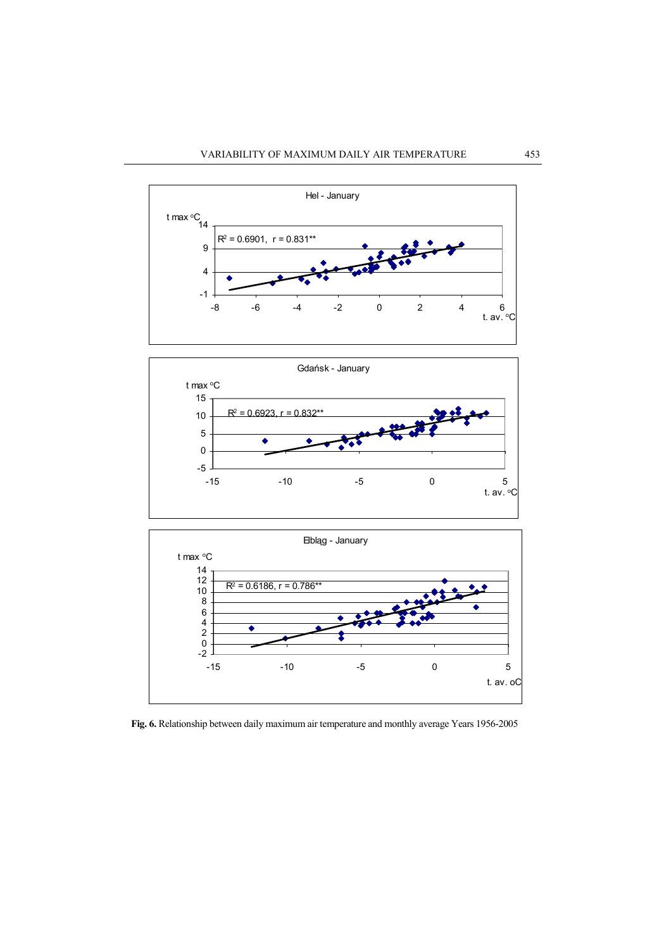





Fig. 6. Relationship between daily maximum air temperature and monthly average Years 1956-2005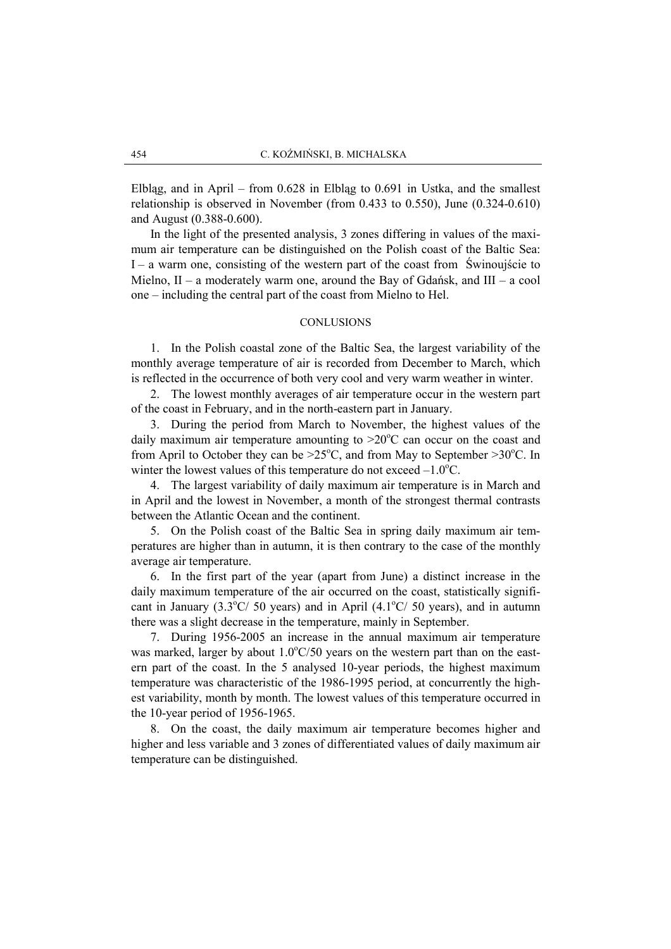Elbląg, and in April – from 0.628 in Elbląg to 0.691 in Ustka, and the smallest relationship is observed in November (from 0.433 to 0.550), June (0.324-0.610) and August (0.388-0.600).

 In the light of the presented analysis, 3 zones differing in values of the maximum air temperature can be distinguished on the Polish coast of the Baltic Sea: I – a warm one, consisting of the western part of the coast from Świnoujście to Mielno,  $II - a$  moderately warm one, around the Bay of Gdańsk, and  $III - a$  cool one – including the central part of the coast from Mielno to Hel.

### CONLUSIONS

1. In the Polish coastal zone of the Baltic Sea, the largest variability of the monthly average temperature of air is recorded from December to March, which is reflected in the occurrence of both very cool and very warm weather in winter.

2. The lowest monthly averages of air temperature occur in the western part of the coast in February, and in the north-eastern part in January.

3. During the period from March to November, the highest values of the daily maximum air temperature amounting to  $>20^{\circ}$ C can occur on the coast and from April to October they can be  $>25^{\circ}$ C, and from May to September  $>30^{\circ}$ C. In winter the lowest values of this temperature do not exceed  $-1.0^{\circ}$ C.

4. The largest variability of daily maximum air temperature is in March and in April and the lowest in November, a month of the strongest thermal contrasts between the Atlantic Ocean and the continent.

5. On the Polish coast of the Baltic Sea in spring daily maximum air temperatures are higher than in autumn, it is then contrary to the case of the monthly average air temperature.

6. In the first part of the year (apart from June) a distinct increase in the daily maximum temperature of the air occurred on the coast, statistically significant in January (3.3 $\degree$ C/ 50 years) and in April (4.1 $\degree$ C/ 50 years), and in autumn there was a slight decrease in the temperature, mainly in September.

7. During 1956-2005 an increase in the annual maximum air temperature was marked, larger by about  $1.0^{\circ}$ C/50 years on the western part than on the eastern part of the coast. In the 5 analysed 10-year periods, the highest maximum temperature was characteristic of the 1986-1995 period, at concurrently the highest variability, month by month. The lowest values of this temperature occurred in the 10-year period of 1956-1965.

8. On the coast, the daily maximum air temperature becomes higher and higher and less variable and 3 zones of differentiated values of daily maximum air temperature can be distinguished.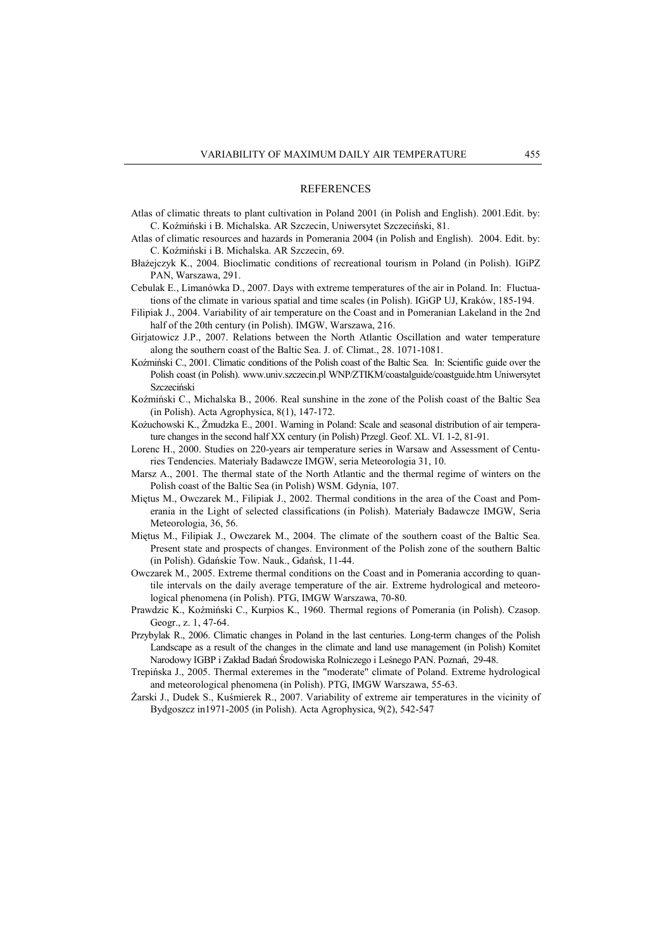#### REFERENCES

- Atlas of climatic threats to plant cultivation in Poland 2001 (in Polish and English). 2001.Edit. by: C. Koźmiński i B. Michalska. AR Szczecin, Uniwersytet Szczeciński, 81.
- Atlas of climatic resources and hazards in Pomerania 2004 (in Polish and English). 2004. Edit. by: C. Koźmiński i B. Michalska. AR Szczecin, 69.
- Błażejczyk K., 2004. Bioclimatic conditions of recreational tourism in Poland (in Polish). IGiPZ PAN, Warszawa, 291.
- Cebulak E., Limanówka D., 2007. Days with extreme temperatures of the air in Poland. In: Fluctuations of the climate in various spatial and time scales (in Polish). IGiGP UJ, Kraków, 185-194.
- Filipiak J., 2004. Variability of air temperature on the Coast and in Pomeranian Lakeland in the 2nd half of the 20th century (in Polish). IMGW, Warszawa, 216.
- Girjatowicz J.P., 2007. Relations between the North Atlantic Oscillation and water temperature along the southern coast of the Baltic Sea. J. of. Climat., 28. 1071-1081.
- Koźmiński C., 2001. Climatic conditions of the Polish coast of the Baltic Sea. In: Scientific guide over the Polish coast (in Polish). www.univ.szczecin.pl WNP/ZTIKM/coastalguide/coastguide.htm Uniwersytet Szczeciński
- Koźmiński C., Michalska B., 2006. Real sunshine in the zone of the Polish coast of the Baltic Sea (in Polish). Acta Agrophysica, 8(1), 147-172.
- Kożuchowski K., Żmudzka E., 2001. Warning in Poland: Scale and seasonal distribution of air temperature changes in the second half XX century (in Polish) Przegl. Geof. XL. VI. 1-2, 81-91.
- Lorenc H., 2000. Studies on 220-years air temperature series in Warsaw and Assessment of Centuries Tendencies. Materiały Badawcze IMGW, seria Meteorologia 31, 10.
- Marsz A., 2001. The thermal state of the North Atlantic and the thermal regime of winters on the Polish coast of the Baltic Sea (in Polish) WSM. Gdynia, 107.
- Miętus M., Owczarek M., Filipiak J., 2002. Thermal conditions in the area of the Coast and Pomerania in the Light of selected classifications (in Polish). Materiały Badawcze IMGW, Seria Meteorologia, 36, 56.
- Miętus M., Filipiak J., Owczarek M., 2004. The climate of the southern coast of the Baltic Sea. Present state and prospects of changes. Environment of the Polish zone of the southern Baltic (in Polish). Gdańskie Tow. Nauk., Gdańsk, 11-44.
- Owczarek M., 2005. Extreme thermal conditions on the Coast and in Pomerania according to quantile intervals on the daily average temperature of the air. Extreme hydrological and meteorological phenomena (in Polish). PTG, IMGW Warszawa, 70-80.
- Prawdzic K., Koźmiński C., Kurpios K., 1960. Thermal regions of Pomerania (in Polish). Czasop. Geogr., z. 1, 47-64.
- Przybylak R., 2006. Climatic changes in Poland in the last centuries. Long-term changes of the Polish Landscape as a result of the changes in the climate and land use management (in Polish) Komitet Narodowy IGBP i Zakład Badań Środowiska Rolniczego i Leśnego PAN. Poznań, 29-48.
- Trepińska J., 2005. Thermal exteremes in the "moderate" climate of Poland. Extreme hydrological and meteorological phenomena (in Polish). PTG, IMGW Warszawa, 55-63.
- Żarski J., Dudek S., Kuśmierek R., 2007. Variability of extreme air temperatures in the vicinity of Bydgoszcz in1971-2005 (in Polish). Acta Agrophysica, 9(2), 542-547